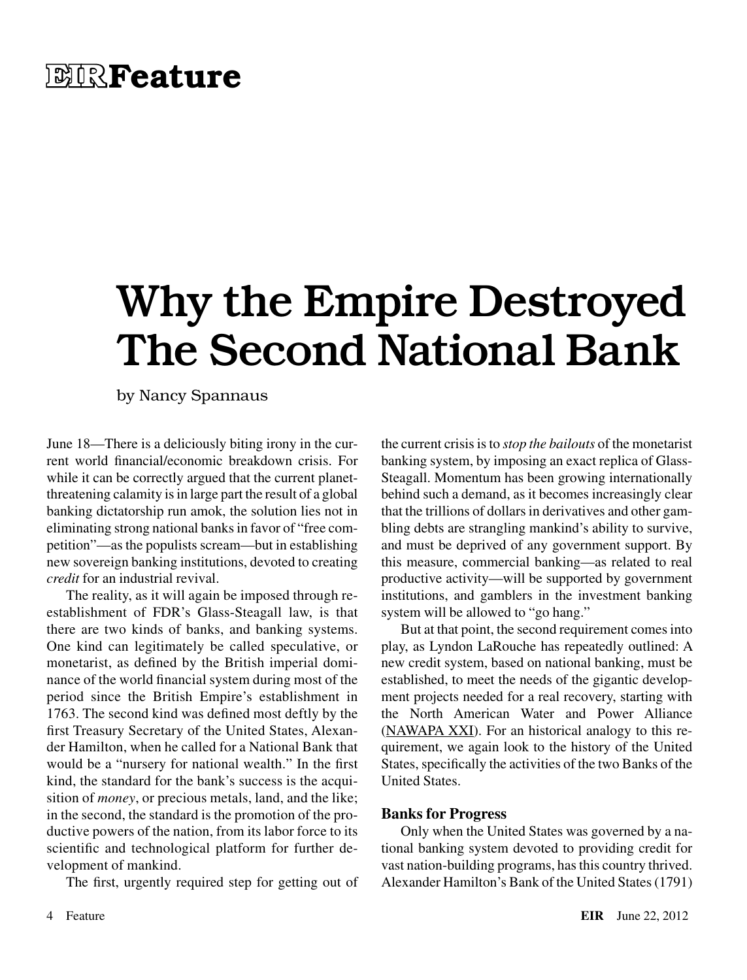## **EIRFeature**

## Why the Empire Destroyed The Second National Bank

by Nancy Spannaus

June 18—There is a deliciously biting irony in the current world financial/economic breakdown crisis. For while it can be correctly argued that the current planetthreatening calamity is in large part the result of a global banking dictatorship run amok, the solution lies not in eliminating strong national banks in favor of "free competition"—as the populists scream—but in establishing new sovereign banking institutions, devoted to creating *credit* for an industrial revival.

The reality, as it will again be imposed through reestablishment of FDR's Glass-Steagall law, is that there are two kinds of banks, and banking systems. One kind can legitimately be called speculative, or monetarist, as defined by the British imperial dominance of the world financial system during most of the period since the British Empire's establishment in 1763. The second kind was defined most deftly by the first Treasury Secretary of the United States, Alexander Hamilton, when he called for a National Bank that would be a "nursery for national wealth." In the first kind, the standard for the bank's success is the acquisition of *money*, or precious metals, land, and the like; in the second, the standard is the promotion of the productive powers of the nation, from its labor force to its scientific and technological platform for further development of mankind.

The first, urgently required step for getting out of

the current crisis is to *stop the bailouts* of the monetarist banking system, by imposing an exact replica of Glass-Steagall. Momentum has been growing internationally behind such a demand, as it becomes increasingly clear that the trillions of dollars in derivatives and other gambling debts are strangling mankind's ability to survive, and must be deprived of any government support. By this measure, commercial banking—as related to real productive activity—will be supported by government institutions, and gamblers in the investment banking system will be allowed to "go hang."

But at that point, the second requirement comes into play, as Lyndon LaRouche has repeatedly outlined: A new credit system, based on national banking, must be established, to meet the needs of the gigantic development projects needed for a real recovery, starting with the North American Water and Power Alliance ([NAWAPA XXI](http://larouchepac.com/files/20120403-nawapaxxi-forweb_0.pdf)). For an historical analogy to this requirement, we again look to the history of the United States, specifically the activities of the two Banks of the United States.

## **Banks for Progress**

Only when the United States was governed by a national banking system devoted to providing credit for vast nation-building programs, has this country thrived. Alexander Hamilton's Bank of the United States (1791)